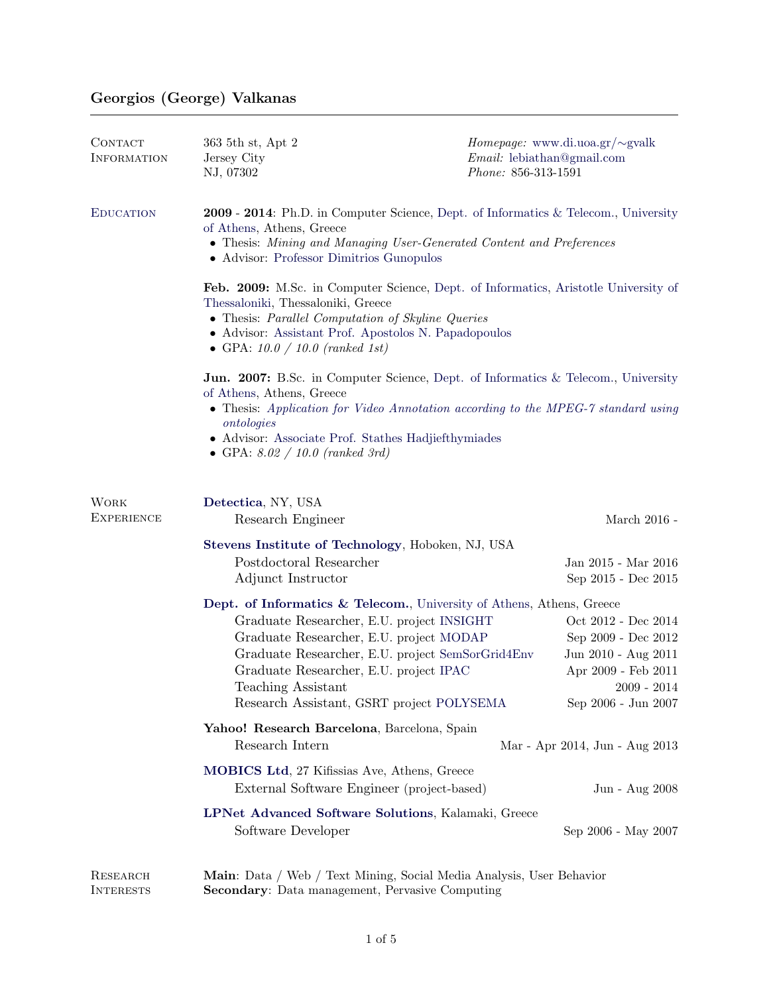# Georgios (George) Valkanas

| CONTACT<br>INFORMATION           | 363 5th st, Apt 2<br>Jersey City<br>NJ, 07302                                                                                                                                                                                                                                                                                  | <i>Homepage:</i> www.di.uoa.gr/ $\sim$ gvalk<br>$Email:$ lebiathan@gmail.com<br>Phone: 856-313-1591                              |  |
|----------------------------------|--------------------------------------------------------------------------------------------------------------------------------------------------------------------------------------------------------------------------------------------------------------------------------------------------------------------------------|----------------------------------------------------------------------------------------------------------------------------------|--|
| <b>EDUCATION</b>                 | 2009 - 2014: Ph.D. in Computer Science, Dept. of Informatics & Telecom., University<br>of Athens, Athens, Greece<br>• Thesis: Mining and Managing User-Generated Content and Preferences<br>• Advisor: Professor Dimitrios Gunopulos                                                                                           |                                                                                                                                  |  |
|                                  | Feb. 2009: M.Sc. in Computer Science, Dept. of Informatics, Aristotle University of<br>Thessaloniki, Thessaloniki, Greece<br>• Thesis: Parallel Computation of Skyline Queries<br>• Advisor: Assistant Prof. Apostolos N. Papadopoulos<br>• GPA: $10.0 / 10.0$ (ranked 1st)                                                    |                                                                                                                                  |  |
|                                  | <b>Jun. 2007:</b> B.Sc. in Computer Science, Dept. of Informatics & Telecom., University<br>of Athens, Athens, Greece<br>• Thesis: Application for Video Annotation according to the MPEG-7 standard using<br>ontologies<br>• Advisor: Associate Prof. Stathes Hadjiefthymiades<br>• GPA: $8.02 / 10.0$ (ranked 3rd)           |                                                                                                                                  |  |
| <b>WORK</b><br><b>EXPERIENCE</b> | Detectica, NY, USA<br>Research Engineer                                                                                                                                                                                                                                                                                        | March 2016 -                                                                                                                     |  |
|                                  | Stevens Institute of Technology, Hoboken, NJ, USA<br>Postdoctoral Researcher<br>Adjunct Instructor                                                                                                                                                                                                                             | Jan 2015 - Mar $2016\,$<br>Sep 2015 - Dec 2015                                                                                   |  |
|                                  | Dept. of Informatics & Telecom., University of Athens, Athens, Greece<br>Graduate Researcher, E.U. project INSIGHT<br>Graduate Researcher, E.U. project MODAP<br>Graduate Researcher, E.U. project SemSorGrid4Env<br>Graduate Researcher, E.U. project IPAC<br>Teaching Assistant<br>Research Assistant, GSRT project POLYSEMA | Oct 2012 - Dec 2014<br>Sep 2009 - Dec 2012<br>Jun 2010 - Aug 2011<br>Apr 2009 - Feb 2011<br>$2009 - 2014$<br>Sep 2006 - Jun 2007 |  |
|                                  | Yahoo! Research Barcelona, Barcelona, Spain<br>Research Intern<br>Mar - Apr 2014, Jun - Aug 2013                                                                                                                                                                                                                               |                                                                                                                                  |  |
|                                  | <b>MOBICS Ltd</b> , 27 Kifissias Ave, Athens, Greece<br>External Software Engineer (project-based)                                                                                                                                                                                                                             | Jun - Aug 2008                                                                                                                   |  |
|                                  | LPNet Advanced Software Solutions, Kalamaki, Greece<br>Software Developer                                                                                                                                                                                                                                                      | Sep 2006 - May 2007                                                                                                              |  |
| RESEARCH<br><b>INTERESTS</b>     | Main: Data / Web / Text Mining, Social Media Analysis, User Behavior<br><b>Secondary:</b> Data management, Pervasive Computing                                                                                                                                                                                                 |                                                                                                                                  |  |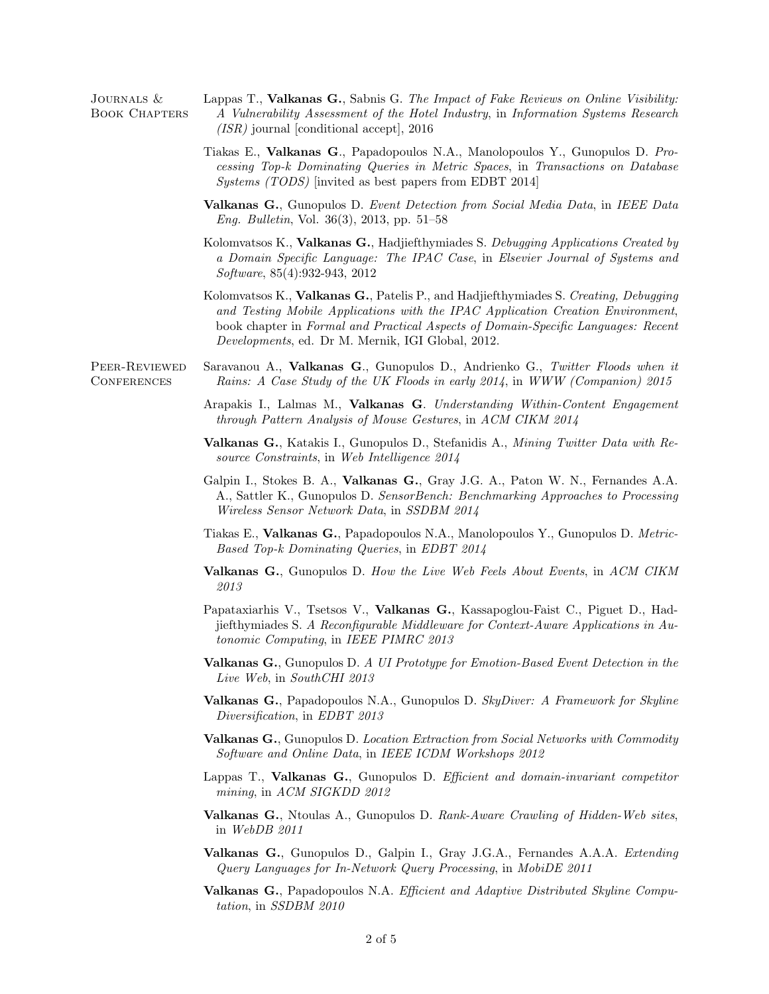| JOURNALS &<br><b>BOOK CHAPTERS</b>  | Lappas T., Valkanas G., Sabnis G. The Impact of Fake Reviews on Online Visibility.<br>A Vulnerability Assessment of the Hotel Industry, in Information Systems Research<br>$(ISR)$ journal [conditional accept], 2016                                                                                                     |
|-------------------------------------|---------------------------------------------------------------------------------------------------------------------------------------------------------------------------------------------------------------------------------------------------------------------------------------------------------------------------|
|                                     | Tiakas E., Valkanas G., Papadopoulos N.A., Manolopoulos Y., Gunopulos D. Pro-<br>cessing Top-k Dominating Queries in Metric Spaces, in Transactions on Database<br><i>Systems (TODS)</i> [invited as best papers from EDBT 2014]                                                                                          |
|                                     | <b>Valkanas G.</b> , Gunopulos D. Event Detection from Social Media Data, in IEEE Data<br><i>Eng. Bulletin, Vol.</i> 36(3), 2013, pp. 51–58                                                                                                                                                                               |
|                                     | Kolomvatsos K., Valkanas G., Hadjiefthymiades S. Debugging Applications Created by<br>a Domain Specific Language: The IPAC Case, in Elsevier Journal of Systems and<br>Software, 85(4):932-943, 2012                                                                                                                      |
|                                     | Kolomvatsos K., Valkanas G., Patelis P., and Hadjiefthymiades S. Creating, Debugging<br>and Testing Mobile Applications with the IPAC Application Creation Environment,<br>book chapter in Formal and Practical Aspects of Domain-Specific Languages: Recent<br><i>Developments</i> , ed. Dr M. Mernik, IGI Global, 2012. |
| PEER-REVIEWED<br><b>CONFERENCES</b> | Saravanou A., Valkanas G., Gunopulos D., Andrienko G., Twitter Floods when it<br>Rains: A Case Study of the UK Floods in early 2014, in WWW (Companion) 2015                                                                                                                                                              |
|                                     | Arapakis I., Lalmas M., Valkanas G. Understanding Within-Content Engagement<br>through Pattern Analysis of Mouse Gestures, in ACM CIKM 2014                                                                                                                                                                               |
|                                     | <b>Valkanas G.</b> , Katakis I., Gunopulos D., Stefanidis A., <i>Mining Twitter Data with Re-</i><br>source Constraints, in Web Intelligence 2014                                                                                                                                                                         |
|                                     | Galpin I., Stokes B. A., Valkanas G., Gray J.G. A., Paton W. N., Fernandes A.A.<br>A., Sattler K., Gunopulos D. SensorBench: Benchmarking Approaches to Processing<br><i>Wireless Sensor Network Data, in SSDBM 2014</i>                                                                                                  |
|                                     | Tiakas E., Valkanas G., Papadopoulos N.A., Manolopoulos Y., Gunopulos D. Metric-<br>Based Top-k Dominating Queries, in EDBT 2014                                                                                                                                                                                          |
|                                     | <b>Valkanas G.</b> , Gunopulos D. How the Live Web Feels About Events, in ACM CIKM<br>2013                                                                                                                                                                                                                                |
|                                     | Papataxiarhis V., Tsetsos V., Valkanas G., Kassapoglou-Faist C., Piguet D., Had-<br>jiefthymiades S. A Reconfigurable Middleware for Context-Aware Applications in Au-<br>tonomic Computing, in IEEE PIMRC 2013                                                                                                           |
|                                     | <b>Valkanas G.</b> , Gunopulos D. A UI Prototype for Emotion-Based Event Detection in the<br>Live Web, in SouthCHI 2013                                                                                                                                                                                                   |
|                                     | <b>Valkanas G.</b> , Papadopoulos N.A., Gunopulos D. SkyDiver: A Framework for Skyline<br>Diversification, in EDBT 2013                                                                                                                                                                                                   |
|                                     | Valkanas G., Gunopulos D. Location Extraction from Social Networks with Commodity<br>Software and Online Data, in IEEE ICDM Workshops 2012                                                                                                                                                                                |
|                                     | Lappas T., Valkanas G., Gunopulos D. Efficient and domain-invariant competitor<br>mining, in ACM SIGKDD 2012                                                                                                                                                                                                              |
|                                     | <b>Valkanas G.</b> , Ntoulas A., Gunopulos D. Rank-Aware Crawling of Hidden-Web sites,<br>in $WebDB$ 2011                                                                                                                                                                                                                 |
|                                     | Valkanas G., Gunopulos D., Galpin I., Gray J.G.A., Fernandes A.A.A. Extending<br>Query Languages for In-Network Query Processing, in MobiDE 2011                                                                                                                                                                          |
|                                     | Valkanas G., Papadopoulos N.A. Efficient and Adaptive Distributed Skyline Compu-<br>tation, in SSDBM 2010                                                                                                                                                                                                                 |
|                                     |                                                                                                                                                                                                                                                                                                                           |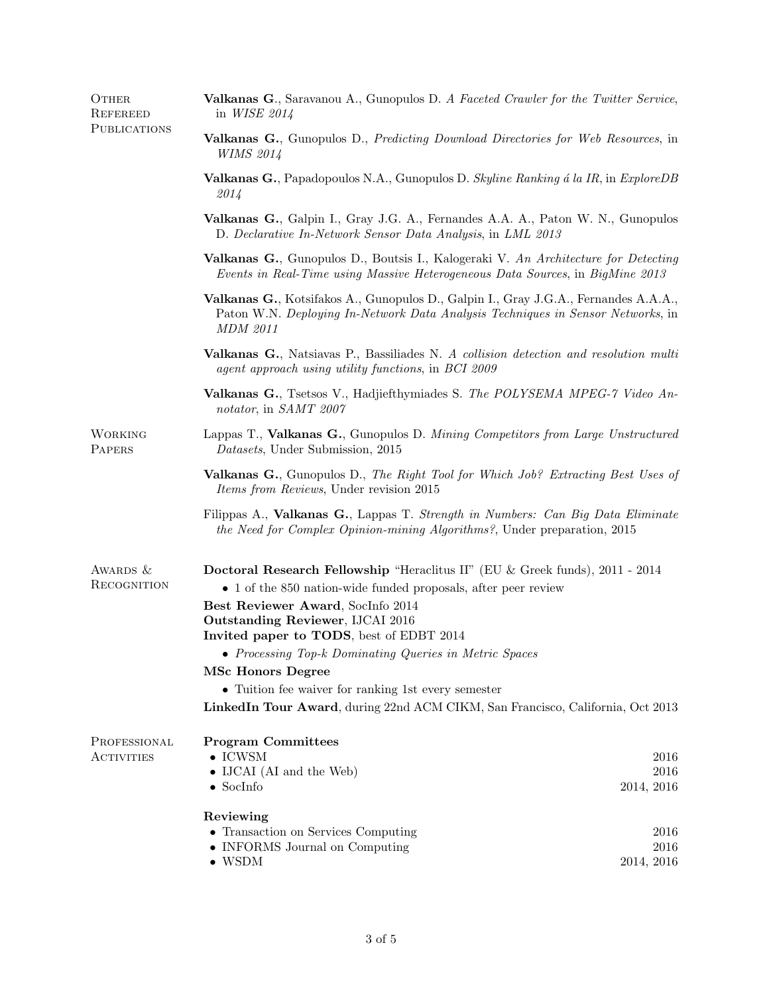| OTHER<br>REFEREED<br>PUBLICATIONS | Valkanas G., Saravanou A., Gunopulos D. A Faceted Crawler for the Twitter Service,<br>in WISE 2014                                                                                                                                                                                                                                                                                                                                                                                                           |                            |  |
|-----------------------------------|--------------------------------------------------------------------------------------------------------------------------------------------------------------------------------------------------------------------------------------------------------------------------------------------------------------------------------------------------------------------------------------------------------------------------------------------------------------------------------------------------------------|----------------------------|--|
|                                   | Valkanas G., Gunopulos D., Predicting Download Directories for Web Resources, in<br><b>WIMS 2014</b>                                                                                                                                                                                                                                                                                                                                                                                                         |                            |  |
|                                   | Valkanas G., Papadopoulos N.A., Gunopulos D. Skyline Ranking á la IR, in ExploreDB<br>2014                                                                                                                                                                                                                                                                                                                                                                                                                   |                            |  |
|                                   | Valkanas G., Galpin I., Gray J.G. A., Fernandes A.A. A., Paton W. N., Gunopulos<br>D. Declarative In-Network Sensor Data Analysis, in LML 2013                                                                                                                                                                                                                                                                                                                                                               |                            |  |
|                                   | Valkanas G., Gunopulos D., Boutsis I., Kalogeraki V. An Architecture for Detecting<br>Events in Real-Time using Massive Heterogeneous Data Sources, in BigMine 2013                                                                                                                                                                                                                                                                                                                                          |                            |  |
|                                   | Valkanas G., Kotsifakos A., Gunopulos D., Galpin I., Gray J.G.A., Fernandes A.A.A.,<br>Paton W.N. Deploying In-Network Data Analysis Techniques in Sensor Networks, in<br><b>MDM 2011</b>                                                                                                                                                                                                                                                                                                                    |                            |  |
|                                   | Valkanas G., Natsiavas P., Bassiliades N. A collision detection and resolution multi<br>agent approach using utility functions, in BCI 2009                                                                                                                                                                                                                                                                                                                                                                  |                            |  |
|                                   | Valkanas G., Tsetsos V., Hadjiefthymiades S. The POLYSEMA MPEG-7 Video An-<br>notator, in SAMT 2007                                                                                                                                                                                                                                                                                                                                                                                                          |                            |  |
| WORKING<br>PAPERS                 | Lappas T., Valkanas G., Gunopulos D. Mining Competitors from Large Unstructured<br>Datasets, Under Submission, 2015                                                                                                                                                                                                                                                                                                                                                                                          |                            |  |
|                                   | <b>Valkanas G.</b> , Gunopulos D., The Right Tool for Which Job? Extracting Best Uses of<br><i>Items from Reviews</i> , Under revision 2015                                                                                                                                                                                                                                                                                                                                                                  |                            |  |
|                                   | Filippas A., Valkanas G., Lappas T. Strength in Numbers: Can Big Data Eliminate<br>the Need for Complex Opinion-mining Algorithms?, Under preparation, 2015                                                                                                                                                                                                                                                                                                                                                  |                            |  |
| AWARDS &<br>RECOGNITION           | Doctoral Research Fellowship "Heraclitus II" (EU & Greek funds), 2011 - 2014<br>• 1 of the 850 nation-wide funded proposals, after peer review<br>Best Reviewer Award, SocInfo 2014<br>Outstanding Reviewer, IJCAI 2016<br>Invited paper to TODS, best of EDBT 2014<br>• Processing Top-k Dominating Queries in Metric Spaces<br><b>MSc Honors Degree</b><br>$\bullet\,$ Tuition fee waiver for ranking 1st every semester<br>LinkedIn Tour Award, during 22nd ACM CIKM, San Francisco, California, Oct 2013 |                            |  |
| PROFESSIONAL<br>ACTIVITIES        | <b>Program Committees</b><br>$\bullet$ ICWSM<br>• IJCAI (AI and the Web)<br>$\bullet$ SocInfo<br>Reviewing                                                                                                                                                                                                                                                                                                                                                                                                   | 2016<br>2016<br>2014, 2016 |  |
|                                   | • Transaction on Services Computing<br>• INFORMS Journal on Computing<br>$\bullet$ WSDM                                                                                                                                                                                                                                                                                                                                                                                                                      | 2016<br>2016<br>2014, 2016 |  |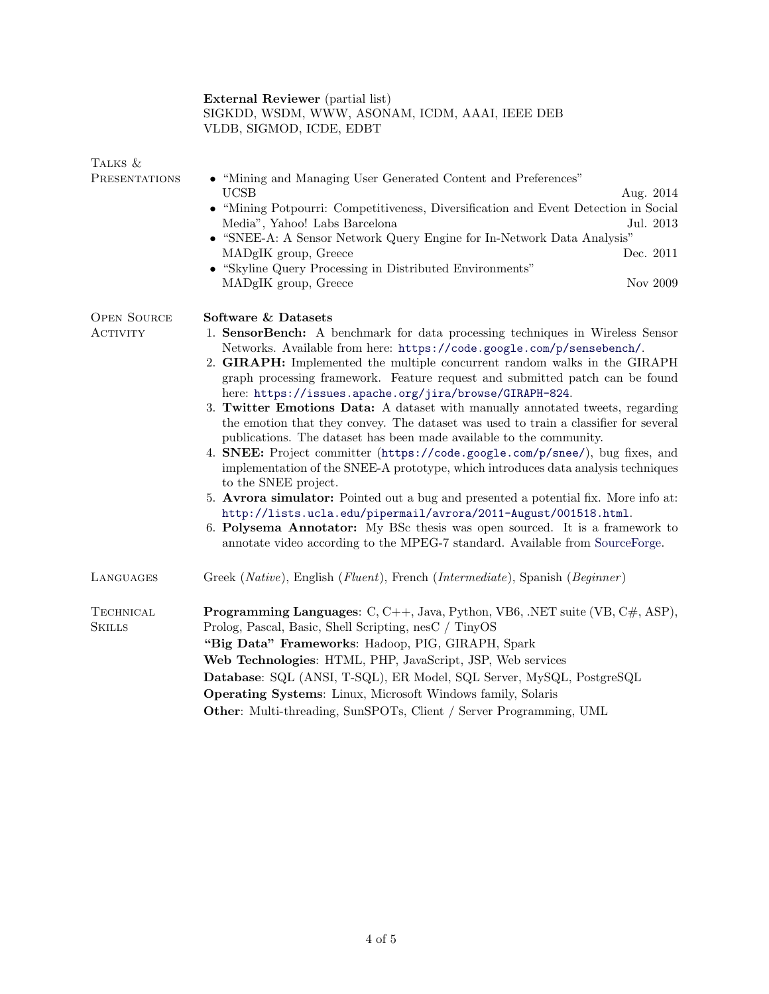|                                   | <b>External Reviewer</b> (partial list)<br>SIGKDD, WSDM, WWW, ASONAM, ICDM, AAAI, IEEE DEB<br>VLDB, SIGMOD, ICDE, EDBT                                                                                                                                                                                                                                                                                                                                                                                                                                                                                                                                                                                                                                                                                                                                                                                                                                                                                                                                                                                                                                                      |  |
|-----------------------------------|-----------------------------------------------------------------------------------------------------------------------------------------------------------------------------------------------------------------------------------------------------------------------------------------------------------------------------------------------------------------------------------------------------------------------------------------------------------------------------------------------------------------------------------------------------------------------------------------------------------------------------------------------------------------------------------------------------------------------------------------------------------------------------------------------------------------------------------------------------------------------------------------------------------------------------------------------------------------------------------------------------------------------------------------------------------------------------------------------------------------------------------------------------------------------------|--|
| TALKS &<br>PRESENTATIONS          | • "Mining and Managing User Generated Content and Preferences"<br><b>UCSB</b><br>Aug. 2014<br>• "Mining Potpourri: Competitiveness, Diversification and Event Detection in Social<br>Media", Yahoo! Labs Barcelona<br>Jul. 2013<br>• "SNEE-A: A Sensor Network Query Engine for In-Network Data Analysis"<br>Dec. 2011<br>MADgIK group, Greece<br>• "Skyline Query Processing in Distributed Environments"<br>Nov $2009$<br>MADgIK group, Greece                                                                                                                                                                                                                                                                                                                                                                                                                                                                                                                                                                                                                                                                                                                            |  |
| <b>OPEN SOURCE</b><br>ACTIVITY    | Software & Datasets<br>1. SensorBench: A benchmark for data processing techniques in Wireless Sensor<br>Networks. Available from here: https://code.google.com/p/sensebench/.<br>2. GIRAPH: Implemented the multiple concurrent random walks in the GIRAPH<br>graph processing framework. Feature request and submitted patch can be found<br>here: https://issues.apache.org/jira/browse/GIRAPH-824.<br>3. Twitter Emotions Data: A dataset with manually annotated tweets, regarding<br>the emotion that they convey. The dataset was used to train a classifier for several<br>publications. The dataset has been made available to the community.<br>4. SNEE: Project committer (https://code.google.com/p/snee/), bug fixes, and<br>implementation of the SNEE-A prototype, which introduces data analysis techniques<br>to the SNEE project.<br>5. Avrora simulator: Pointed out a bug and presented a potential fix. More info at:<br>http://lists.ucla.edu/pipermail/avrora/2011-August/001518.html.<br>6. Polysema Annotator: My BSc thesis was open sourced. It is a framework to<br>annotate video according to the MPEG-7 standard. Available from SourceForge. |  |
| LANGUAGES                         | Greek (Native), English (Fluent), French (Intermediate), Spanish (Beginner)                                                                                                                                                                                                                                                                                                                                                                                                                                                                                                                                                                                                                                                                                                                                                                                                                                                                                                                                                                                                                                                                                                 |  |
| <b>TECHNICAL</b><br><b>SKILLS</b> | <b>Programming Languages:</b> $C, C++, Java, Python, VB6, .NET suite (VB, C\#, ASP),$<br>Prolog, Pascal, Basic, Shell Scripting, nesC / TinyOS<br>"Big Data" Frameworks: Hadoop, PIG, GIRAPH, Spark<br>Web Technologies: HTML, PHP, JavaScript, JSP, Web services<br>Database: SQL (ANSI, T-SQL), ER Model, SQL Server, MySQL, PostgreSQL<br>Operating Systems: Linux, Microsoft Windows family, Solaris<br>Other: Multi-threading, SunSPOTs, Client / Server Programming, UML                                                                                                                                                                                                                                                                                                                                                                                                                                                                                                                                                                                                                                                                                              |  |